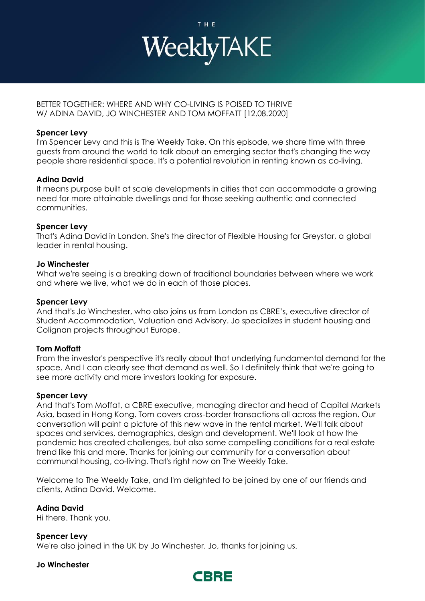

## BETTER TOGETHER: WHERE AND WHY CO-LIVING IS POISED TO THRIVE W/ ADINA DAVID, JO WINCHESTER AND TOM MOFFATT [12.08.2020]

## **Spencer Levy**

I'm Spencer Levy and this is The Weekly Take. On this episode, we share time with three guests from around the world to talk about an emerging sector that's changing the way people share residential space. It's a potential revolution in renting known as co-living.

# **Adina David**

It means purpose built at scale developments in cities that can accommodate a growing need for more attainable dwellings and for those seeking authentic and connected communities.

## **Spencer Levy**

That's Adina David in London. She's the director of Flexible Housing for Greystar, a global leader in rental housing.

## **Jo Winchester**

What we're seeing is a breaking down of traditional boundaries between where we work and where we live, what we do in each of those places.

## **Spencer Levy**

And that's Jo Winchester, who also joins us from London as CBRE's, executive director of Student Accommodation, Valuation and Advisory. Jo specializes in student housing and Colignan projects throughout Europe.

# **Tom Moffatt**

From the investor's perspective it's really about that underlying fundamental demand for the space. And I can clearly see that demand as well. So I definitely think that we're going to see more activity and more investors looking for exposure.

## **Spencer Levy**

And that's Tom Moffat, a CBRE executive, managing director and head of Capital Markets Asia, based in Hong Kong. Tom covers cross-border transactions all across the region. Our conversation will paint a picture of this new wave in the rental market. We'll talk about spaces and services, demographics, design and development. We'll look at how the pandemic has created challenges, but also some compelling conditions for a real estate trend like this and more. Thanks for joining our community for a conversation about communal housing, co-living. That's right now on The Weekly Take.

Welcome to The Weekly Take, and I'm delighted to be joined by one of our friends and clients, Adina David. Welcome.

**Adina David** Hi there. Thank you.

**Spencer Levy** We're also joined in the UK by Jo Winchester. Jo, thanks for joining us.

## **Jo Winchester**

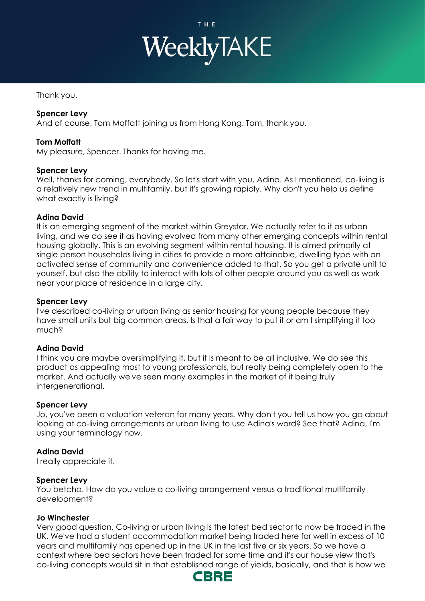

Thank you.

## **Spencer Levy**

And of course, Tom Moffatt joining us from Hong Kong. Tom, thank you.

## **Tom Moffatt**

My pleasure, Spencer. Thanks for having me.

## **Spencer Levy**

Well, thanks for coming, everybody. So let's start with you, Adina. As I mentioned, co-living is a relatively new trend in multifamily, but it's growing rapidly. Why don't you help us define what exactly is living?

## **Adina David**

It is an emerging segment of the market within Greystar. We actually refer to it as urban living, and we do see it as having evolved from many other emerging concepts within rental housing globally. This is an evolving segment within rental housing. It is aimed primarily at single person households living in cities to provide a more attainable, dwelling type with an activated sense of community and convenience added to that. So you get a private unit to yourself, but also the ability to interact with lots of other people around you as well as work near your place of residence in a large city.

#### **Spencer Levy**

I've described co-living or urban living as senior housing for young people because they have small units but big common areas. Is that a fair way to put it or am I simplifying it too much?

## **Adina David**

I think you are maybe oversimplifying it, but it is meant to be all inclusive. We do see this product as appealing most to young professionals, but really being completely open to the market. And actually we've seen many examples in the market of it being truly intergenerational.

## **Spencer Levy**

Jo, you've been a valuation veteran for many years. Why don't you tell us how you go about looking at co-living arrangements or urban living to use Adina's word? See that? Adina, I'm using your terminology now.

## **Adina David**

I really appreciate it.

#### **Spencer Levy**

You betcha. How do you value a co-living arrangement versus a traditional multifamily development?

## **Jo Winchester**

Very good question. Co-living or urban living is the latest bed sector to now be traded in the UK. We've had a student accommodation market being traded here for well in excess of 10 years and multifamily has opened up in the UK in the last five or six years. So we have a context where bed sectors have been traded for some time and it's our house view that's co-living concepts would sit in that established range of yields, basically, and that is how we

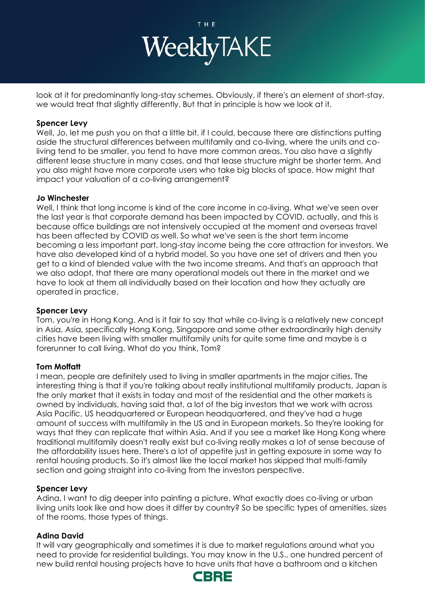

look at it for predominantly long-stay schemes. Obviously, if there's an element of short-stay, we would treat that slightly differently. But that in principle is how we look at it.

#### **Spencer Levy**

Well, Jo, let me push you on that a little bit, if I could, because there are distinctions putting aside the structural differences between multifamily and co-living, where the units and coliving tend to be smaller, you tend to have more common areas. You also have a slightly different lease structure in many cases, and that lease structure might be shorter term. And you also might have more corporate users who take big blocks of space. How might that impact your valuation of a co-living arrangement?

#### **Jo Winchester**

Well, I think that long income is kind of the core income in co-living. What we've seen over the last year is that corporate demand has been impacted by COVID, actually, and this is because office buildings are not intensively occupied at the moment and overseas travel has been affected by COVID as well. So what we've seen is the short term income becoming a less important part, long-stay income being the core attraction for investors. We have also developed kind of a hybrid model. So you have one set of drivers and then you get to a kind of blended value with the two income streams. And that's an approach that we also adopt, that there are many operational models out there in the market and we have to look at them all individually based on their location and how they actually are operated in practice.

## **Spencer Levy**

Tom, you're in Hong Kong. And is it fair to say that while co-living is a relatively new concept in Asia, Asia, specifically Hong Kong, Singapore and some other extraordinarily high density cities have been living with smaller multifamily units for quite some time and maybe is a forerunner to call living. What do you think, Tom?

## **Tom Moffatt**

I mean, people are definitely used to living in smaller apartments in the major cities. The interesting thing is that if you're talking about really institutional multifamily products, Japan is the only market that it exists in today and most of the residential and the other markets is owned by individuals, having said that, a lot of the big investors that we work with across Asia Pacific, US headquartered or European headquartered, and they've had a huge amount of success with multifamily in the US and in European markets. So they're looking for ways that they can replicate that within Asia. And if you see a market like Hong Kong where traditional multifamily doesn't really exist but co-living really makes a lot of sense because of the affordability issues here. There's a lot of appetite just in getting exposure in some way to rental housing products. So it's almost like the local market has skipped that multi-family section and going straight into co-living from the investors perspective.

## **Spencer Levy**

Adina, I want to dig deeper into painting a picture. What exactly does co-living or urban living units look like and how does it differ by country? So be specific types of amenities, sizes of the rooms, those types of things.

## **Adina David**

It will vary geographically and sometimes it is due to market regulations around what you need to provide for residential buildings. You may know in the U.S., one hundred percent of new build rental housing projects have to have units that have a bathroom and a kitchen

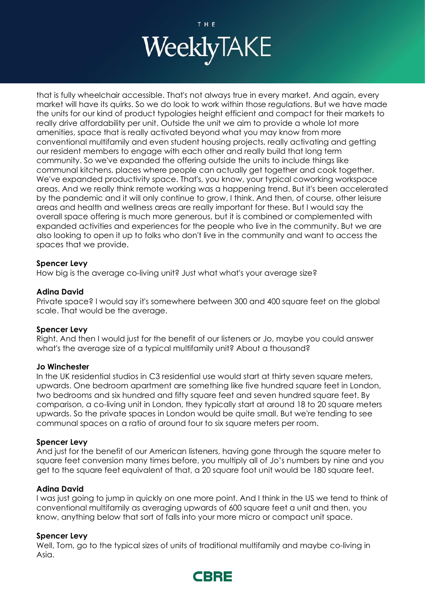

that is fully wheelchair accessible. That's not always true in every market. And again, every market will have its quirks. So we do look to work within those regulations. But we have made the units for our kind of product typologies height efficient and compact for their markets to really drive affordability per unit. Outside the unit we aim to provide a whole lot more amenities, space that is really activated beyond what you may know from more conventional multifamily and even student housing projects, really activating and getting our resident members to engage with each other and really build that long term community. So we've expanded the offering outside the units to include things like communal kitchens, places where people can actually get together and cook together. We've expanded productivity space. That's, you know, your typical coworking workspace areas. And we really think remote working was a happening trend. But it's been accelerated by the pandemic and it will only continue to grow, I think. And then, of course, other leisure areas and health and wellness areas are really important for these. But I would say the overall space offering is much more generous, but it is combined or complemented with expanded activities and experiences for the people who live in the community. But we are also looking to open it up to folks who don't live in the community and want to access the spaces that we provide.

#### **Spencer Levy**

How big is the average co-living unit? Just what what's your average size?

#### **Adina David**

Private space? I would say it's somewhere between 300 and 400 square feet on the global scale. That would be the average.

## **Spencer Levy**

Right. And then I would just for the benefit of our listeners or Jo, maybe you could answer what's the average size of a typical multifamily unit? About a thousand?

#### **Jo Winchester**

In the UK residential studios in C3 residential use would start at thirty seven square meters, upwards. One bedroom apartment are something like five hundred square feet in London, two bedrooms and six hundred and fifty square feet and seven hundred square feet. By comparison, a co-living unit in London, they typically start at around 18 to 20 square meters upwards. So the private spaces in London would be quite small. But we're tending to see communal spaces on a ratio of around four to six square meters per room.

## **Spencer Levy**

And just for the benefit of our American listeners, having gone through the square meter to square feet conversion many times before, you multiply all of Jo's numbers by nine and you get to the square feet equivalent of that, a 20 square foot unit would be 180 square feet.

## **Adina David**

I was just going to jump in quickly on one more point. And I think in the US we tend to think of conventional multifamily as averaging upwards of 600 square feet a unit and then, you know, anything below that sort of falls into your more micro or compact unit space.

## **Spencer Levy**

Well, Tom, go to the typical sizes of units of traditional multifamily and maybe co-living in Asia.

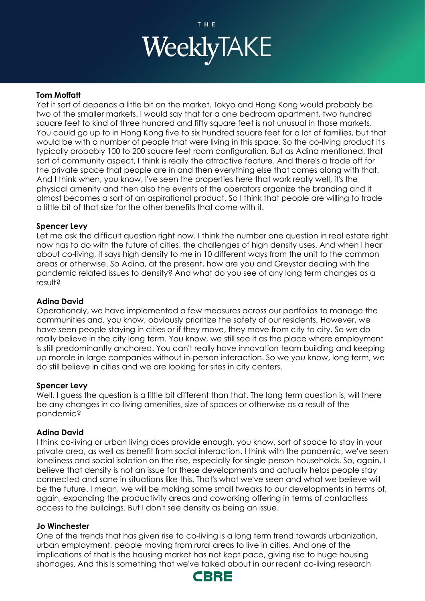

#### **Tom Moffatt**

Yet it sort of depends a little bit on the market. Tokyo and Hong Kong would probably be two of the smaller markets. I would say that for a one bedroom apartment, two hundred square feet to kind of three hundred and fifty square feet is not unusual in those markets. You could go up to in Hong Kong five to six hundred square feet for a lot of families, but that would be with a number of people that were living in this space. So the co-living product it's typically probably 100 to 200 square feet room configuration. But as Adina mentioned, that sort of community aspect, I think is really the attractive feature. And there's a trade off for the private space that people are in and then everything else that comes along with that. And I think when, you know, I've seen the properties here that work really well, it's the physical amenity and then also the events of the operators organize the branding and it almost becomes a sort of an aspirational product. So I think that people are willing to trade a little bit of that size for the other benefits that come with it.

#### **Spencer Levy**

Let me ask the difficult question right now. I think the number one question in real estate right now has to do with the future of cities, the challenges of high density uses. And when I hear about co-living, it says high density to me in 10 different ways from the unit to the common areas or otherwise. So Adina, at the present, how are you and Greystar dealing with the pandemic related issues to density? And what do you see of any long term changes as a result?

#### **Adina David**

Operationaly, we have implemented a few measures across our portfolios to manage the communities and, you know, obviously prioritize the safety of our residents. However, we have seen people staying in cities or if they move, they move from city to city. So we do really believe in the city long term. You know, we still see it as the place where employment is still predominantly anchored. You can't really have innovation team building and keeping up morale in large companies without in-person interaction. So we you know, long term, we do still believe in cities and we are looking for sites in city centers.

#### **Spencer Levy**

Well, I guess the question is a little bit different than that. The long term question is, will there be any changes in co-living amenities, size of spaces or otherwise as a result of the pandemic?

#### **Adina David**

I think co-living or urban living does provide enough, you know, sort of space to stay in your private area, as well as benefit from social interaction. I think with the pandemic, we've seen loneliness and social isolation on the rise, especially for single person households. So, again, I believe that density is not an issue for these developments and actually helps people stay connected and sane in situations like this. That's what we've seen and what we believe will be the future. I mean, we will be making some small tweaks to our developments in terms of, again, expanding the productivity areas and coworking offering in terms of contactless access to the buildings. But I don't see density as being an issue.

#### **Jo Winchester**

One of the trends that has given rise to co-living is a long term trend towards urbanization, urban employment, people moving from rural areas to live in cities. And one of the implications of that is the housing market has not kept pace, giving rise to huge housing shortages. And this is something that we've talked about in our recent co-living research

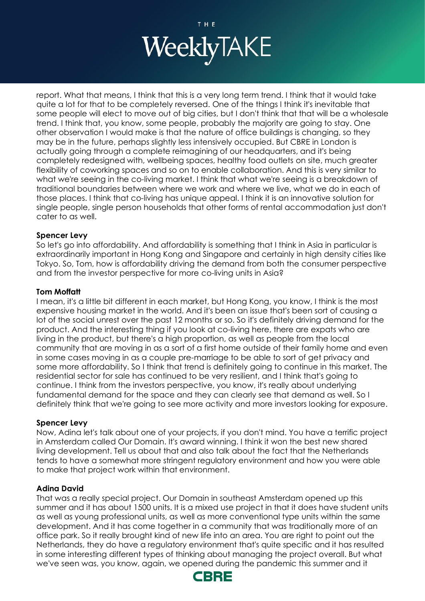

report. What that means, I think that this is a very long term trend. I think that it would take quite a lot for that to be completely reversed. One of the things I think it's inevitable that some people will elect to move out of big cities, but I don't think that that will be a wholesale trend. I think that, you know, some people, probably the majority are going to stay. One other observation I would make is that the nature of office buildings is changing, so they may be in the future, perhaps slightly less intensively occupied. But CBRE in London is actually going through a complete reimagining of our headquarters, and it's being completely redesigned with, wellbeing spaces, healthy food outlets on site, much greater flexibility of coworking spaces and so on to enable collaboration. And this is very similar to what we're seeing in the co-living market. I think that what we're seeing is a breakdown of traditional boundaries between where we work and where we live, what we do in each of those places. I think that co-living has unique appeal. I think it is an innovative solution for single people, single person households that other forms of rental accommodation just don't cater to as well.

## **Spencer Levy**

So let's go into affordability. And affordability is something that I think in Asia in particular is extraordinarily important in Hong Kong and Singapore and certainly in high density cities like Tokyo. So, Tom, how is affordability driving the demand from both the consumer perspective and from the investor perspective for more co-living units in Asia?

## **Tom Moffatt**

I mean, it's a little bit different in each market, but Hong Kong, you know, I think is the most expensive housing market in the world. And it's been an issue that's been sort of causing a lot of the social unrest over the past 12 months or so. So it's definitely driving demand for the product. And the interesting thing if you look at co-living here, there are expats who are living in the product, but there's a high proportion, as well as people from the local community that are moving in as a sort of a first home outside of their family home and even in some cases moving in as a couple pre-marriage to be able to sort of get privacy and some more affordability. So I think that trend is definitely going to continue in this market. The residential sector for sale has continued to be very resilient, and I think that's going to continue. I think from the investors perspective, you know, it's really about underlying fundamental demand for the space and they can clearly see that demand as well. So I definitely think that we're going to see more activity and more investors looking for exposure.

## **Spencer Levy**

Now, Adina let's talk about one of your projects, if you don't mind. You have a terrific project in Amsterdam called Our Domain. It's award winning. I think it won the best new shared living development. Tell us about that and also talk about the fact that the Netherlands tends to have a somewhat more stringent regulatory environment and how you were able to make that project work within that environment.

# **Adina David**

That was a really special project. Our Domain in southeast Amsterdam opened up this summer and it has about 1500 units. It is a mixed use project in that it does have student units as well as young professional units, as well as more conventional type units within the same development. And it has come together in a community that was traditionally more of an office park. So it really brought kind of new life into an area. You are right to point out the Netherlands, they do have a regulatory environment that's quite specific and it has resulted in some interesting different types of thinking about managing the project overall. But what we've seen was, you know, again, we opened during the pandemic this summer and it

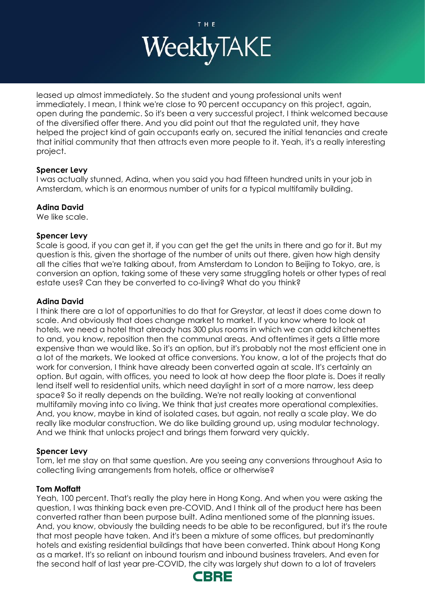

leased up almost immediately. So the student and young professional units went immediately. I mean, I think we're close to 90 percent occupancy on this project, again, open during the pandemic. So it's been a very successful project, I think welcomed because of the diversified offer there. And you did point out that the regulated unit, they have helped the project kind of gain occupants early on, secured the initial tenancies and create that initial community that then attracts even more people to it. Yeah, it's a really interesting project.

# **Spencer Levy**

I was actually stunned, Adina, when you said you had fifteen hundred units in your job in Amsterdam, which is an enormous number of units for a typical multifamily building.

# **Adina David**

We like scale.

## **Spencer Levy**

Scale is good, if you can get it, if you can get the get the units in there and go for it. But my question is this, given the shortage of the number of units out there, given how high density all the cities that we're talking about, from Amsterdam to London to Beijing to Tokyo, are, is conversion an option, taking some of these very same struggling hotels or other types of real estate uses? Can they be converted to co-living? What do you think?

## **Adina David**

I think there are a lot of opportunities to do that for Greystar, at least it does come down to scale. And obviously that does change market to market. If you know where to look at hotels, we need a hotel that already has 300 plus rooms in which we can add kitchenettes to and, you know, reposition then the communal areas. And oftentimes it gets a little more expensive than we would like. So it's an option, but it's probably not the most efficient one in a lot of the markets. We looked at office conversions. You know, a lot of the projects that do work for conversion, I think have already been converted again at scale. It's certainly an option. But again, with offices, you need to look at how deep the floor plate is. Does it really lend itself well to residential units, which need daylight in sort of a more narrow, less deep space? So it really depends on the building. We're not really looking at conventional multifamily moving into co living. We think that just creates more operational complexities. And, you know, maybe in kind of isolated cases, but again, not really a scale play. We do really like modular construction. We do like building ground up, using modular technology. And we think that unlocks project and brings them forward very quickly.

## **Spencer Levy**

Tom, let me stay on that same question. Are you seeing any conversions throughout Asia to collecting living arrangements from hotels, office or otherwise?

## **Tom Moffatt**

Yeah, 100 percent. That's really the play here in Hong Kong. And when you were asking the question, I was thinking back even pre-COVID. And I think all of the product here has been converted rather than been purpose built. Adina mentioned some of the planning issues. And, you know, obviously the building needs to be able to be reconfigured, but it's the route that most people have taken. And it's been a mixture of some offices, but predominantly hotels and existing residential buildings that have been converted. Think about Hong Kong as a market. It's so reliant on inbound tourism and inbound business travelers. And even for the second half of last year pre-COVID, the city was largely shut down to a lot of travelers

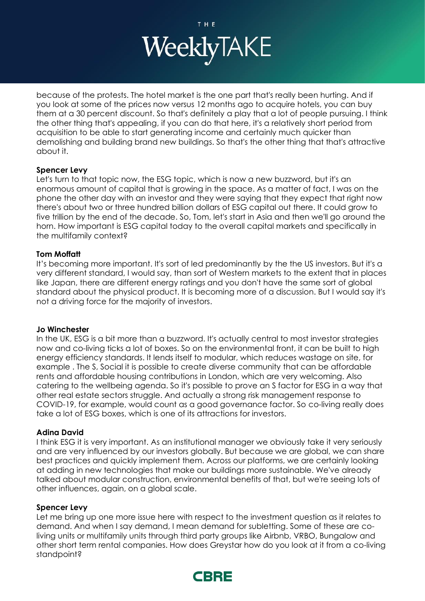

because of the protests. The hotel market is the one part that's really been hurting. And if you look at some of the prices now versus 12 months ago to acquire hotels, you can buy them at a 30 percent discount. So that's definitely a play that a lot of people pursuing. I think the other thing that's appealing, if you can do that here, it's a relatively short period from acquisition to be able to start generating income and certainly much quicker than demolishing and building brand new buildings. So that's the other thing that that's attractive about it.

## **Spencer Levy**

Let's turn to that topic now, the ESG topic, which is now a new buzzword, but it's an enormous amount of capital that is growing in the space. As a matter of fact, I was on the phone the other day with an investor and they were saying that they expect that right now there's about two or three hundred billion dollars of ESG capital out there. It could grow to five trillion by the end of the decade. So, Tom, let's start in Asia and then we'll go around the horn. How important is ESG capital today to the overall capital markets and specifically in the multifamily context?

## **Tom Moffatt**

It's becoming more important. It's sort of led predominantly by the the US investors. But it's a very different standard, I would say, than sort of Western markets to the extent that in places like Japan, there are different energy ratings and you don't have the same sort of global standard about the physical product. It is becoming more of a discussion. But I would say it's not a driving force for the majority of investors.

## **Jo Winchester**

In the UK, ESG is a bit more than a buzzword. It's actually central to most investor strategies now and co-living ticks a lot of boxes. So on the environmental front, it can be built to high energy efficiency standards. It lends itself to modular, which reduces wastage on site, for example . The S, Social it is possible to create diverse community that can be affordable rents and affordable housing contributions in London, which are very welcoming. Also catering to the wellbeing agenda. So it's possible to prove an S factor for ESG in a way that other real estate sectors struggle. And actually a strong risk management response to COVID-19, for example, would count as a good governance factor. So co-living really does take a lot of ESG boxes, which is one of its attractions for investors.

## **Adina David**

I think ESG it is very important. As an institutional manager we obviously take it very seriously and are very influenced by our investors globally. But because we are global, we can share best practices and quickly implement them. Across our platforms, we are certainly looking at adding in new technologies that make our buildings more sustainable. We've already talked about modular construction, environmental benefits of that, but we're seeing lots of other influences, again, on a global scale.

## **Spencer Levy**

Let me bring up one more issue here with respect to the investment question as it relates to demand. And when I say demand, I mean demand for subletting. Some of these are coliving units or multifamily units through third party groups like Airbnb, VRBO, Bungalow and other short term rental companies. How does Greystar how do you look at it from a co-living standpoint?

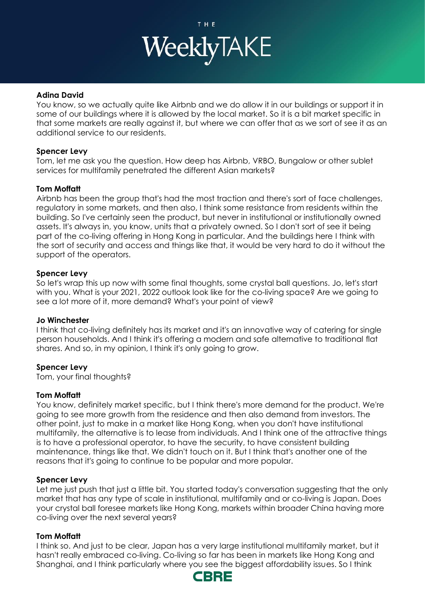

# **Adina David**

You know, so we actually quite like Airbnb and we do allow it in our buildings or support it in some of our buildings where it is allowed by the local market. So it is a bit market specific in that some markets are really against it, but where we can offer that as we sort of see it as an additional service to our residents.

## **Spencer Levy**

Tom, let me ask you the question. How deep has Airbnb, VRBO, Bungalow or other sublet services for multifamily penetrated the different Asian markets?

## **Tom Moffatt**

Airbnb has been the group that's had the most traction and there's sort of face challenges, regulatory in some markets, and then also, I think some resistance from residents within the building. So I've certainly seen the product, but never in institutional or institutionally owned assets. It's always in, you know, units that a privately owned. So I don't sort of see it being part of the co-living offering in Hong Kong in particular. And the buildings here I think with the sort of security and access and things like that, it would be very hard to do it without the support of the operators.

#### **Spencer Levy**

So let's wrap this up now with some final thoughts, some crystal ball questions. Jo, let's start with you. What is your 2021, 2022 outlook look like for the co-living space? Are we going to see a lot more of it, more demand? What's your point of view?

#### **Jo Winchester**

I think that co-living definitely has its market and it's an innovative way of catering for single person households. And I think it's offering a modern and safe alternative to traditional flat shares. And so, in my opinion, I think it's only going to grow.

## **Spencer Levy**

Tom, your final thoughts?

## **Tom Moffatt**

You know, definitely market specific, but I think there's more demand for the product. We're going to see more growth from the residence and then also demand from investors. The other point, just to make in a market like Hong Kong, when you don't have institutional multifamily, the alternative is to lease from individuals. And I think one of the attractive things is to have a professional operator, to have the security, to have consistent building maintenance, things like that. We didn't touch on it. But I think that's another one of the reasons that it's going to continue to be popular and more popular.

#### **Spencer Levy**

Let me just push that just a little bit. You started today's conversation suggesting that the only market that has any type of scale in institutional, multifamily and or co-living is Japan. Does your crystal ball foresee markets like Hong Kong, markets within broader China having more co-living over the next several years?

## **Tom Moffatt**

I think so. And just to be clear, Japan has a very large institutional multifamily market, but it hasn't really embraced co-living. Co-living so far has been in markets like Hong Kong and Shanghai, and I think particularly where you see the biggest affordability issues. So I think